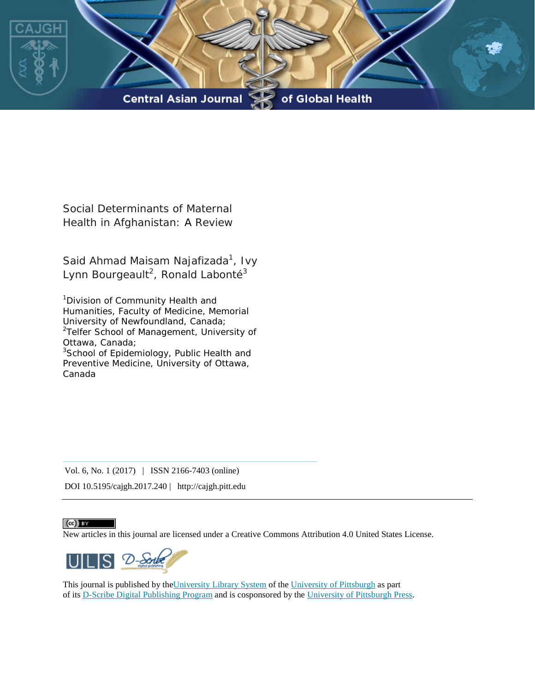

Social Determinants of Maternal Health in Afghanistan: A Review

Said Ahmad Maisam Najafizada<sup>1</sup>, Ivy Lynn Bourgeault<sup>2</sup>, Ronald Labon[té](http://www.sciencedirect.com/science/article/pii/S0149718916301641)<sup>3</sup>

<sup>1</sup> Division of Community Health and Humanities, Faculty of Medicine, Memorial University of Newfoundland, Canada; <sup>2</sup>Telfer School of Management, University of Ottawa, Canada; <sup>3</sup>School of Epidemiology, Public Health and Preventive Medicine, University of Ottawa, Canada

Vol. 6, No. 1 (2017) | ISSN 2166-7403 (online) DOI 10.5195/cajgh.2017.240 | http://cajgh.pitt.edu

 $(cc)$  BY

New articles in this journal are licensed under a Creative Commons Attribution 4.0 United States License.



This journal is published by th[eUniversity Library System](http://www.library.pitt.edu/) of the [University of Pittsburgh](http://www.pitt.edu/) as part of its [D-Scribe Digital Publishing Program](http://www.library.pitt.edu/articles/digpubtype/index.html) and is cosponsored by th[e University of Pittsburgh Press.](http://www.upress.pitt.edu/upressIndex.aspx)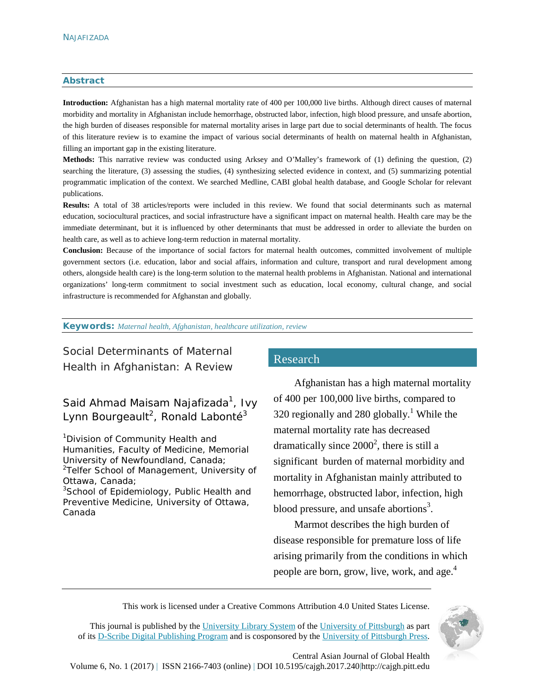#### **Abstract**

**Introduction:** Afghanistan has a high maternal mortality rate of 400 per 100,000 live births. Although direct causes of maternal morbidity and mortality in Afghanistan include hemorrhage, obstructed labor, infection, high blood pressure, and unsafe abortion, the high burden of diseases responsible for maternal mortality arises in large part due to social determinants of health. The focus of this literature review is to examine the impact of various social determinants of health on maternal health in Afghanistan, filling an important gap in the existing literature.

**Methods:** This narrative review was conducted using Arksey and O'Malley's framework of (1) defining the question, (2) searching the literature, (3) assessing the studies, (4) synthesizing selected evidence in context, and (5) summarizing potential programmatic implication of the context. We searched Medline, CABI global health database, and Google Scholar for relevant publications.

**Results:** A total of 38 articles/reports were included in this review. We found that social determinants such as maternal education, sociocultural practices, and social infrastructure have a significant impact on maternal health. Health care may be the immediate determinant, but it is influenced by other determinants that must be addressed in order to alleviate the burden on health care, as well as to achieve long-term reduction in maternal mortality.

**Conclusion:** Because of the importance of social factors for maternal health outcomes, committed involvement of multiple government sectors (i.e. education, labor and social affairs, information and culture, transport and rural development among others, alongside health care) is the long-term solution to the maternal health problems in Afghanistan. National and international organizations' long-term commitment to social investment such as education, local economy, cultural change, and social infrastructure is recommended for Afghanstan and globally.

**Keywords:** *Maternal health, Afghanistan, healthcare utilization, review*

Social Determinants of Maternal Health in Afghanistan: A Review

# Said Ahmad Maisam Najafizada<sup>1</sup>, Ivy Lynn Bourgeault<sup>2</sup>, Ronald Labon[té](http://www.sciencedirect.com/science/article/pii/S0149718916301641)<sup>3</sup>

<sup>1</sup> Division of Community Health and Humanities, Faculty of Medicine, Memorial University of Newfoundland, Canada; <sup>2</sup>Telfer School of Management, University of Ottawa, Canada;

<sup>3</sup>School of Epidemiology, Public Health and Preventive Medicine, University of Ottawa, Canada

### Research

Afghanistan has a high maternal mortality of 400 per 100,000 live births, compared to 320 regionally and 280 globally.<sup>1</sup> While the maternal mortality rate has decreased dramatically since  $2000^2$ , there is still a significant burden of maternal morbidity and mortality in Afghanistan mainly attributed to hemorrhage, obstructed labor, infection, high blood pressure, and unsafe abortions<sup>3</sup>.

Marmot describes the high burden of disease responsible for premature loss of life arising primarily from the conditions in which people are born, grow, live, work, and age.<sup>4</sup>

This work is licensed under a Creative Commons Attribution 4.0 United States License.

This journal is published by the [University Library System](http://www.library.pitt.edu/) of the [University of Pittsburgh](http://www.pitt.edu/) as part of its [D-Scribe Digital Publishing Program](http://www.library.pitt.edu/articles/digpubtype/index.html) and is cosponsored by the [University of Pittsburgh Press.](http://www.upress.pitt.edu/upressIndex.aspx)

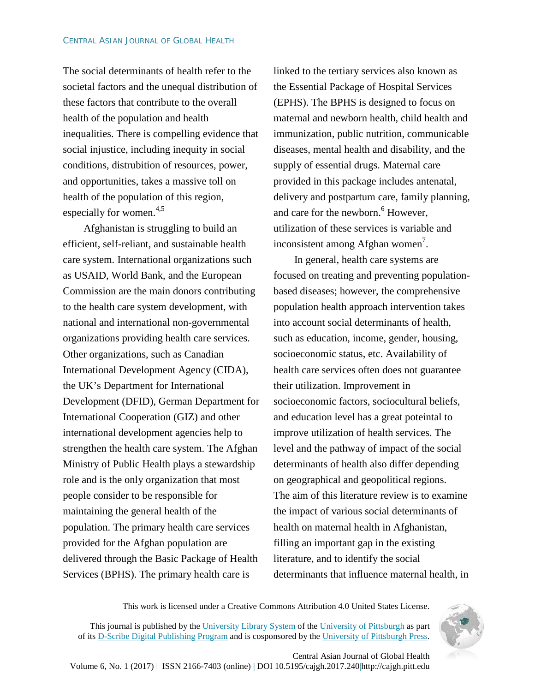The social determinants of health refer to the societal factors and the unequal distribution of these factors that contribute to the overall health of the population and health inequalities. There is compelling evidence that social injustice, including inequity in social conditions, distrubition of resources, power, and opportunities, takes a massive toll on health of the population of this region, especially for women.<sup>4,5</sup>

Afghanistan is struggling to build an efficient, self-reliant, and sustainable health care system. International organizations such as USAID, World Bank, and the European Commission are the main donors contributing to the health care system development, with national and international non-governmental organizations providing health care services. Other organizations, such as Canadian International Development Agency (CIDA), the UK's Department for International Development (DFID), German Department for International Cooperation (GIZ) and other international development agencies help to strengthen the health care system. The Afghan Ministry of Public Health plays a stewardship role and is the only organization that most people consider to be responsible for maintaining the general health of the population. The primary health care services provided for the Afghan population are delivered through the Basic Package of Health Services (BPHS). The primary health care is

linked to the tertiary services also known as the Essential Package of Hospital Services (EPHS). The BPHS is designed to focus on maternal and newborn health, child health and immunization, public nutrition, communicable diseases, mental health and disability, and the supply of essential drugs. Maternal care provided in this package includes antenatal, delivery and postpartum care, family planning, and care for the newborn. <sup>6</sup> However, utilization of these services is variable and inconsistent among Afghan women<sup>7</sup>.

In general, health care systems are focused on treating and preventing populationbased diseases; however, the comprehensive population health approach intervention takes into account social determinants of health, such as education, income, gender, housing, socioeconomic status, etc. Availability of health care services often does not guarantee their utilization. Improvement in socioeconomic factors, sociocultural beliefs, and education level has a great poteintal to improve utilization of health services. The level and the pathway of impact of the social determinants of health also differ depending on geographical and geopolitical regions. The aim of this literature review is to examine the impact of various social determinants of health on maternal health in Afghanistan, filling an important gap in the existing literature, and to identify the social determinants that influence maternal health, in

This work is licensed under a Creative Commons Attribution 4.0 United States License.

This journal is published by the [University Library System](http://www.library.pitt.edu/) of the [University of Pittsburgh](http://www.pitt.edu/) as part of its [D-Scribe Digital Publishing Program](http://www.library.pitt.edu/articles/digpubtype/index.html) and is cosponsored by the [University of Pittsburgh Press.](http://www.upress.pitt.edu/upressIndex.aspx)

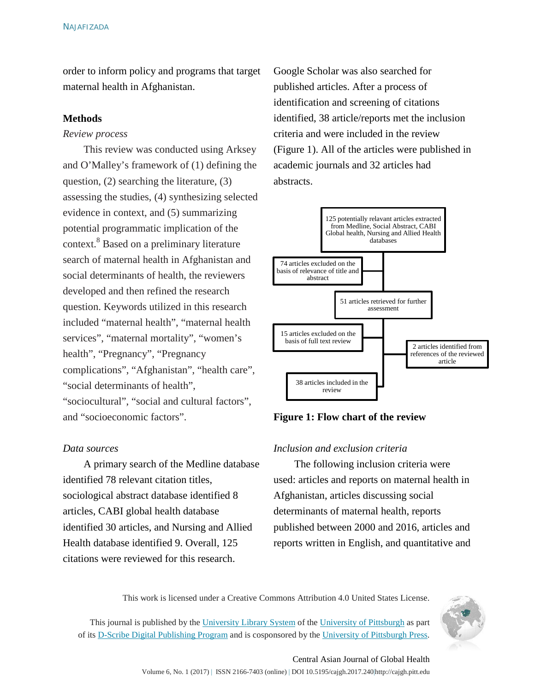order to inform policy and programs that target maternal health in Afghanistan.

### **Methods**

### *Review process*

This review was conducted using Arksey and O'Malley's framework of (1) defining the question, (2) searching the literature, (3) assessing the studies, (4) synthesizing selected evidence in context, and (5) summarizing potential programmatic implication of the context. <sup>8</sup> Based on a preliminary literature search of maternal health in Afghanistan and social determinants of health, the reviewers developed and then refined the research question. Keywords utilized in this research included "maternal health", "maternal health services", "maternal mortality", "women's health", "Pregnancy", "Pregnancy complications", "Afghanistan", "health care", "social determinants of health", "sociocultural", "social and cultural factors", and "socioeconomic factors".

### *Data sources*

A primary search of the Medline database identified 78 relevant citation titles, sociological abstract database identified 8 articles, CABI global health database identified 30 articles, and Nursing and Allied Health database identified 9. Overall, 125 citations were reviewed for this research.

Google Scholar was also searched for published articles. After a process of identification and screening of citations identified, 38 article/reports met the inclusion criteria and were included in the review (Figure 1). All of the articles were published in academic journals and 32 articles had abstracts.



**Figure 1: Flow chart of the review**

### *Inclusion and exclusion criteria*

The following inclusion criteria were used: articles and reports on maternal health in Afghanistan, articles discussing social determinants of maternal health, reports published between 2000 and 2016, articles and reports written in English, and quantitative and

This work is licensed under a Creative Commons Attribution 4.0 United States License.

This journal is published by the [University Library System](http://www.library.pitt.edu/) of the [University of Pittsburgh](http://www.pitt.edu/) as part of its [D-Scribe Digital Publishing](http://www.library.pitt.edu/articles/digpubtype/index.html) Program and is cosponsored by the [University of Pittsburgh Press.](http://www.upress.pitt.edu/upressIndex.aspx)

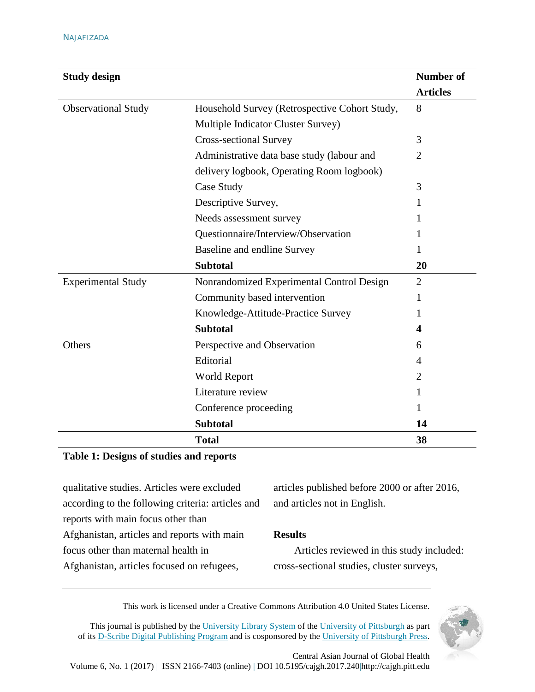| <b>Study design</b>        |                                               | <b>Number of</b> |
|----------------------------|-----------------------------------------------|------------------|
|                            |                                               | <b>Articles</b>  |
| <b>Observational Study</b> | Household Survey (Retrospective Cohort Study, | 8                |
|                            | Multiple Indicator Cluster Survey)            |                  |
|                            | <b>Cross-sectional Survey</b>                 | 3                |
|                            | Administrative data base study (labour and    | $\overline{2}$   |
|                            | delivery logbook, Operating Room logbook)     |                  |
|                            | Case Study                                    | 3                |
|                            | Descriptive Survey,                           | 1                |
|                            | Needs assessment survey                       |                  |
|                            | Questionnaire/Interview/Observation           |                  |
|                            | Baseline and endline Survey                   | 1                |
|                            | <b>Subtotal</b>                               | 20               |
| <b>Experimental Study</b>  | Nonrandomized Experimental Control Design     | $\overline{2}$   |
|                            | Community based intervention                  | 1                |
|                            | Knowledge-Attitude-Practice Survey            | 1                |
|                            | <b>Subtotal</b>                               | 4                |
| Others                     | Perspective and Observation                   | 6                |
|                            | Editorial                                     | 4                |
|                            | World Report                                  | $\overline{2}$   |
|                            | Literature review                             | 1                |
|                            | Conference proceeding                         | 1                |
|                            | <b>Subtotal</b>                               | 14               |
|                            | <b>Total</b>                                  | 38               |

### **Table 1: Designs of studies and reports**

qualitative studies. Articles were excluded according to the following criteria: articles and reports with main focus other than Afghanistan, articles and reports with main focus other than maternal health in Afghanistan, articles focused on refugees, **Results**

articles published before 2000 or after 2016, and articles not in English.

Articles reviewed in this study included: cross-sectional studies, cluster surveys,

This work is licensed under a Creative Commons Attribution 4.0 United States License.

This journal is published by the [University Library System](http://www.library.pitt.edu/) of the [University of Pittsburgh](http://www.pitt.edu/) as part of its [D-Scribe Digital Publishing Program](http://www.library.pitt.edu/articles/digpubtype/index.html) and is cosponsored by the [University of Pittsburgh Press.](http://www.upress.pitt.edu/upressIndex.aspx)

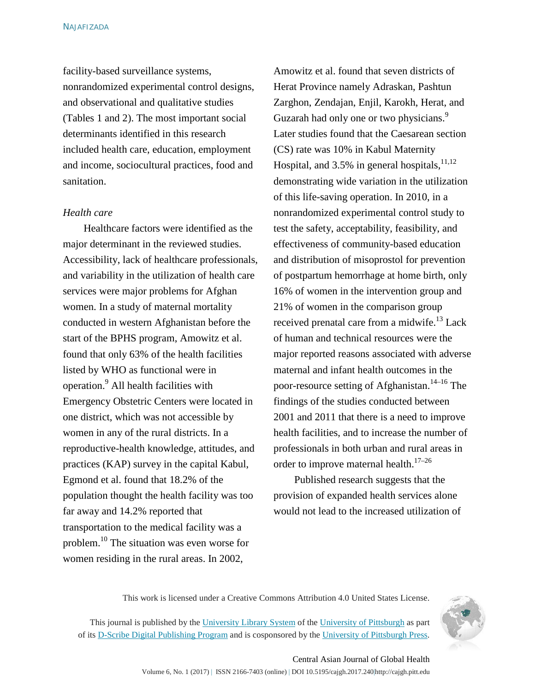facility-based surveillance systems, nonrandomized experimental control designs, and observational and qualitative studies (Tables 1 and 2). The most important social determinants identified in this research included health care, education, employment and income, sociocultural practices, food and sanitation.

## *Health care*

Healthcare factors were identified as the major determinant in the reviewed studies. Accessibility, lack of healthcare professionals, and variability in the utilization of health care services were major problems for Afghan women. In a study of maternal mortality conducted in western Afghanistan before the start of the BPHS program, Amowitz et al. found that only 63% of the health facilities listed by WHO as functional were in operation. <sup>9</sup> All health facilities with Emergency Obstetric Centers were located in one district, which was not accessible by women in any of the rural districts. In a reproductive-health knowledge, attitudes, and practices (KAP) survey in the capital Kabul, Egmond et al. found that 18.2% of the population thought the health facility was too far away and 14.2% reported that transportation to the medical facility was a problem. <sup>10</sup> The situation was even worse for women residing in the rural areas. In 2002,

Amowitz et al. found that seven districts of Herat Province namely Adraskan, Pashtun Zarghon, Zendajan, Enjil, Karokh, Herat, and Guzarah had only one or two physicians.<sup>9</sup> Later studies found that the Caesarean section (CS) rate was 10% in Kabul Maternity Hospital, and 3.5% in general hospitals,  $11,12$ demonstrating wide variation in the utilization of this life-saving operation. In 2010, in a nonrandomized experimental control study to test the safety, acceptability, feasibility, and effectiveness of community-based education and distribution of misoprostol for prevention of postpartum hemorrhage at home birth, only 16% of women in the intervention group and 21% of women in the comparison group received prenatal care from a midwife.<sup>13</sup> Lack of human and technical resources were the major reported reasons associated with adverse maternal and infant health outcomes in the poor-resource setting of Afghanistan.<sup>14-16</sup> The findings of the studies conducted between 2001 and 2011 that there is a need to improve health facilities, and to increase the number of professionals in both urban and rural areas in order to improve maternal health.<sup>17–26</sup>

Published research suggests that the provision of expanded health services alone would not lead to the increased utilization of

This work is licensed under a Creative Commons Attribution 4.0 United States License.

This journal is published by the [University Library System](http://www.library.pitt.edu/) of the [University of Pittsburgh](http://www.pitt.edu/) as part of its [D-Scribe Digital Publishing](http://www.library.pitt.edu/articles/digpubtype/index.html) Program and is cosponsored by the [University of Pittsburgh Press.](http://www.upress.pitt.edu/upressIndex.aspx)

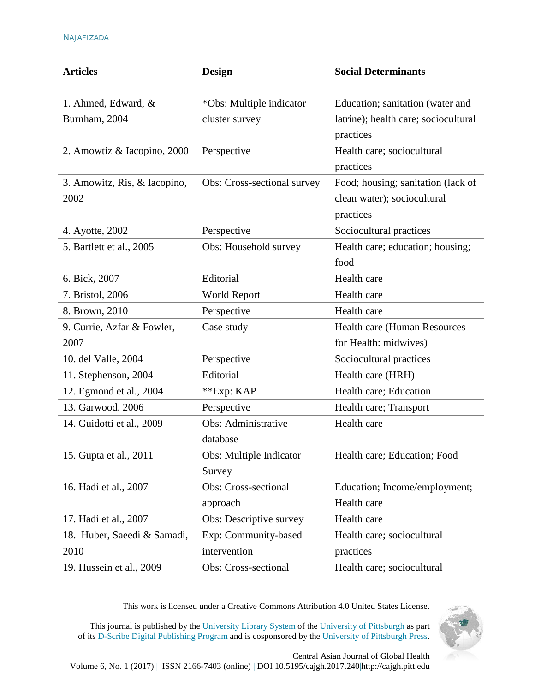### NAJAFIZADA

| <b>Articles</b>              | <b>Design</b>               | <b>Social Determinants</b>           |
|------------------------------|-----------------------------|--------------------------------------|
| 1. Ahmed, Edward, &          | *Obs: Multiple indicator    | Education; sanitation (water and     |
| Burnham, 2004                | cluster survey              | latrine); health care; sociocultural |
|                              |                             | practices                            |
| 2. Amowtiz & Iacopino, 2000  | Perspective                 | Health care; sociocultural           |
|                              |                             | practices                            |
| 3. Amowitz, Ris, & Iacopino, | Obs: Cross-sectional survey | Food; housing; sanitation (lack of   |
| 2002                         |                             | clean water); sociocultural          |
|                              |                             | practices                            |
| 4. Ayotte, 2002              | Perspective                 | Sociocultural practices              |
| 5. Bartlett et al., 2005     | Obs: Household survey       | Health care; education; housing;     |
|                              |                             | food                                 |
| 6. Bick, 2007                | Editorial                   | Health care                          |
| 7. Bristol, 2006             | World Report                | Health care                          |
| 8. Brown, 2010               | Perspective                 | Health care                          |
| 9. Currie, Azfar & Fowler,   | Case study                  | Health care (Human Resources         |
| 2007                         |                             | for Health: midwives)                |
| 10. del Valle, 2004          | Perspective                 | Sociocultural practices              |
| 11. Stephenson, 2004         | Editorial                   | Health care (HRH)                    |
| 12. Egmond et al., 2004      | **Exp: KAP                  | Health care; Education               |
| 13. Garwood, 2006            | Perspective                 | Health care; Transport               |
| 14. Guidotti et al., 2009    | Obs: Administrative         | Health care                          |
|                              | database                    |                                      |
| 15. Gupta et al., 2011       | Obs: Multiple Indicator     | Health care; Education; Food         |
|                              | Survey                      |                                      |
| 16. Hadi et al., 2007        | <b>Obs: Cross-sectional</b> | Education; Income/employment;        |
|                              | approach                    | Health care                          |
| 17. Hadi et al., 2007        | Obs: Descriptive survey     | Health care                          |
| 18. Huber, Saeedi & Samadi,  | Exp: Community-based        | Health care; sociocultural           |
| 2010                         | intervention                | practices                            |
| 19. Hussein et al., 2009     | Obs: Cross-sectional        | Health care; sociocultural           |
|                              |                             |                                      |

This work is licensed under a Creative Commons Attribution 4.0 United States License.



This journal is published by the [University Library System](http://www.library.pitt.edu/) of the [University of Pittsburgh](http://www.pitt.edu/) as part of its [D-Scribe Digital Publishing Program](http://www.library.pitt.edu/articles/digpubtype/index.html) and is cosponsored by the [University of Pittsburgh Press.](http://www.upress.pitt.edu/upressIndex.aspx)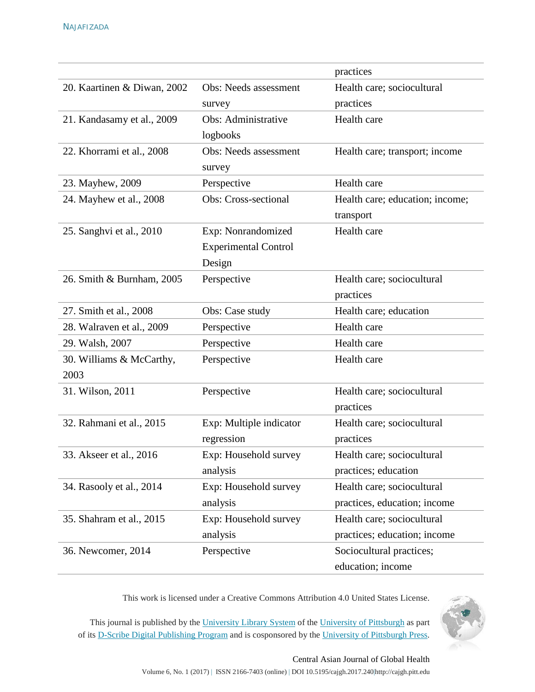#### NAJAFIZADA

|                             |                             | practices                       |
|-----------------------------|-----------------------------|---------------------------------|
| 20. Kaartinen & Diwan, 2002 | Obs: Needs assessment       | Health care; sociocultural      |
|                             | survey                      | practices                       |
| 21. Kandasamy et al., 2009  | Obs: Administrative         | Health care                     |
|                             | logbooks                    |                                 |
| 22. Khorrami et al., 2008   | Obs: Needs assessment       | Health care; transport; income  |
|                             | survey                      |                                 |
| 23. Mayhew, 2009            | Perspective                 | Health care                     |
| 24. Mayhew et al., 2008     | Obs: Cross-sectional        | Health care; education; income; |
|                             |                             | transport                       |
| 25. Sanghvi et al., 2010    | Exp: Nonrandomized          | Health care                     |
|                             | <b>Experimental Control</b> |                                 |
|                             | Design                      |                                 |
| 26. Smith & Burnham, 2005   | Perspective                 | Health care; sociocultural      |
|                             |                             | practices                       |
| 27. Smith et al., 2008      | Obs: Case study             | Health care; education          |
| 28. Walraven et al., 2009   | Perspective                 | Health care                     |
| 29. Walsh, 2007             | Perspective                 | Health care                     |
| 30. Williams & McCarthy,    | Perspective                 | Health care                     |
| 2003                        |                             |                                 |
| 31. Wilson, 2011            | Perspective                 | Health care; sociocultural      |
|                             |                             | practices                       |
| 32. Rahmani et al., 2015    | Exp: Multiple indicator     | Health care; sociocultural      |
|                             | regression                  | practices                       |
| 33. Akseer et al., 2016     | Exp: Household survey       | Health care; sociocultural      |
|                             | analysis                    | practices; education            |
| 34. Rasooly et al., 2014    | Exp: Household survey       | Health care; sociocultural      |
|                             | analysis                    | practices, education; income    |
| 35. Shahram et al., 2015    | Exp: Household survey       | Health care; sociocultural      |
|                             | analysis                    | practices; education; income    |
| 36. Newcomer, 2014          | Perspective                 | Sociocultural practices;        |
|                             |                             | education; income               |

This work is licensed under a Creative Commons Attribution 4.0 United States License.



This journal is published by the [University Library System](http://www.library.pitt.edu/) of the [University of Pittsburgh](http://www.pitt.edu/) as part of its [D-Scribe Digital Publishing](http://www.library.pitt.edu/articles/digpubtype/index.html) Program and is cosponsored by the [University of Pittsburgh Press.](http://www.upress.pitt.edu/upressIndex.aspx)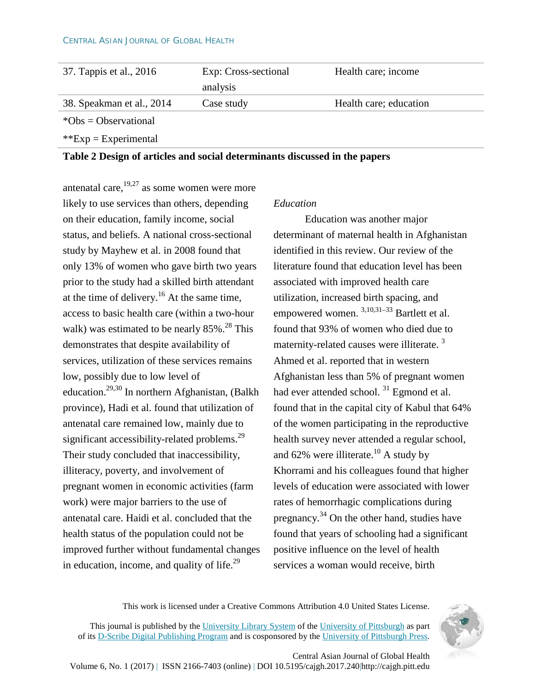#### CENTRAL ASIAN JOURNAL OF GLOBAL HEALTH

| 37. Tappis et al., 2016   | Exp: Cross-sectional | Health care; income    |
|---------------------------|----------------------|------------------------|
|                           | analysis             |                        |
| 38. Speakman et al., 2014 | Case study           | Health care; education |
| $*Obs = Observational$    |                      |                        |
| ** $Exp = Experimental$   |                      |                        |

**Table 2 Design of articles and social determinants discussed in the papers**

antenatal care, <sup>19,27</sup> as some women were more likely to use services than others, depending on their education, family income, social status, and beliefs. A national cross-sectional study by Mayhew et al. in 2008 found that only 13% of women who gave birth two years prior to the study had a skilled birth attendant at the time of delivery.<sup>16</sup> At the same time, access to basic health care (within a two-hour walk) was estimated to be nearly 85%.<sup>28</sup> This demonstrates that despite availability of services, utilization of these services remains low, possibly due to low level of education.<sup>29,30</sup> In northern Afghanistan, (Balkh province), Hadi et al. found that utilization of antenatal care remained low, mainly due to significant accessibility-related problems.<sup>29</sup> Their study concluded that inaccessibility, illiteracy, poverty, and involvement of pregnant women in economic activities (farm work) were major barriers to the use of antenatal care. Haidi et al. concluded that the health status of the population could not be improved further without fundamental changes in education, income, and quality of life.<sup>29</sup>

### *Education*

Education was another major determinant of maternal health in Afghanistan identified in this review. Our review of the literature found that education level has been associated with improved health care utilization, increased birth spacing, and empowered women. 3,10,31–33 Bartlett et al. found that 93% of women who died due to maternity-related causes were illiterate.<sup>3</sup> Ahmed et al. reported that in western Afghanistan less than 5% of pregnant women had ever attended school.<sup>31</sup> Egmond et al. found that in the capital city of Kabul that 64% of the women participating in the reproductive health survey never attended a regular school, and 62% were illiterate.<sup>10</sup> A study by Khorrami and his colleagues found that higher levels of education were associated with lower rates of hemorrhagic complications during pregnancy.34 On the other hand, studies have found that years of schooling had a significant positive influence on the level of health services a woman would receive, birth

This work is licensed under a Creative Commons Attribution 4.0 United States License.

This journal is published by the [University Library System](http://www.library.pitt.edu/) of the [University of Pittsburgh](http://www.pitt.edu/) as part of its [D-Scribe Digital Publishing Program](http://www.library.pitt.edu/articles/digpubtype/index.html) and is cosponsored by the [University of Pittsburgh Press.](http://www.upress.pitt.edu/upressIndex.aspx)

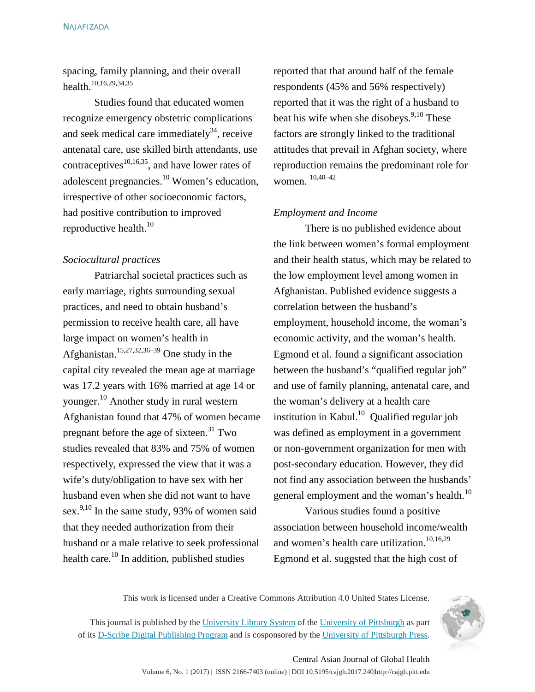spacing, family planning, and their overall health.<sup>10,16,29,34,35</sup>

Studies found that educated women recognize emergency obstetric complications and seek medical care immediately $34$ , receive antenatal care, use skilled birth attendants, use contraceptives $^{10,16,35}$ , and have lower rates of adolescent pregnancies.<sup>10</sup> Women's education, irrespective of other socioeconomic factors, had positive contribution to improved reproductive health.<sup>10</sup>

### *Sociocultural practices*

Patriarchal societal practices such as early marriage, rights surrounding sexual practices, and need to obtain husband's permission to receive health care, all have large impact on women's health in Afghanistan.<sup>15,27,32,36–39</sup> One study in the capital city revealed the mean age at marriage was 17.2 years with 16% married at age 14 or younger. <sup>10</sup> Another study in rural western Afghanistan found that 47% of women became pregnant before the age of sixteen. $31$  Two studies revealed that 83% and 75% of women respectively, expressed the view that it was a wife's duty/obligation to have sex with her husband even when she did not want to have sex.<sup>9,10</sup> In the same study, 93% of women said that they needed authorization from their husband or a male relative to seek professional health care.<sup>10</sup> In addition, published studies

reported that that around half of the female respondents (45% and 56% respectively) reported that it was the right of a husband to beat his wife when she disobeys.<sup>9,10</sup> These factors are strongly linked to the traditional attitudes that prevail in Afghan society, where reproduction remains the predominant role for women. 10,40–42

### *Employment and Income*

There is no published evidence about the link between women's formal employment and their health status, which may be related to the low employment level among women in Afghanistan. Published evidence suggests a correlation between the husband's employment, household income, the woman's economic activity, and the woman's health. Egmond et al. found a significant association between the husband's "qualified regular job" and use of family planning, antenatal care, and the woman's delivery at a health care institution in Kabul. <sup>10</sup> Qualified regular job was defined as employment in a government or non-government organization for men with post-secondary education. However, they did not find any association between the husbands' general employment and the woman's health. $^{10}$ 

Various studies found a positive association between household income/wealth and women's health care utilization. 10,16,29 Egmond et al. suggsted that the high cost of

This work is licensed under a Creative Commons Attribution 4.0 United States License.

This journal is published by the [University Library System](http://www.library.pitt.edu/) of the [University of Pittsburgh](http://www.pitt.edu/) as part of its [D-Scribe Digital Publishing](http://www.library.pitt.edu/articles/digpubtype/index.html) Program and is cosponsored by the [University of Pittsburgh Press.](http://www.upress.pitt.edu/upressIndex.aspx)

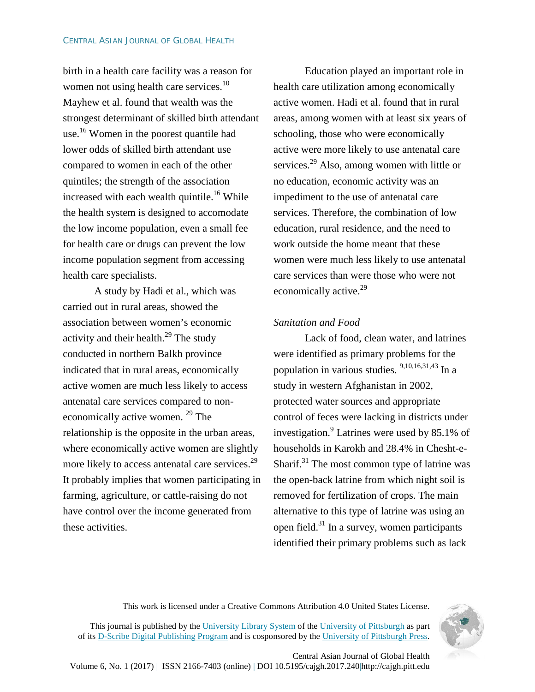birth in a health care facility was a reason for women not using health care services.<sup>10</sup> Mayhew et al. found that wealth was the strongest determinant of skilled birth attendant use.<sup>16</sup> Women in the poorest quantile had lower odds of skilled birth attendant use compared to women in each of the other quintiles; the strength of the association increased with each wealth quintile. <sup>16</sup> While the health system is designed to accomodate the low income population, even a small fee for health care or drugs can prevent the low income population segment from accessing health care specialists.

A study by Hadi et al., which was carried out in rural areas, showed the association between women's economic activity and their health.<sup>29</sup> The study conducted in northern Balkh province indicated that in rural areas, economically active women are much less likely to access antenatal care services compared to noneconomically active women. 29 The relationship is the opposite in the urban areas, where economically active women are slightly more likely to access antenatal care services.<sup>29</sup> It probably implies that women participating in farming, agriculture, or cattle-raising do not have control over the income generated from these activities.

Education played an important role in health care utilization among economically active women. Hadi et al. found that in rural areas, among women with at least six years of schooling, those who were economically active were more likely to use antenatal care services.<sup>29</sup> Also, among women with little or no education, economic activity was an impediment to the use of antenatal care services. Therefore, the combination of low education, rural residence, and the need to work outside the home meant that these women were much less likely to use antenatal care services than were those who were not economically active.<sup>29</sup>

### *Sanitation and Food*

Lack of food, clean water, and latrines were identified as primary problems for the population in various studies. 9,10,16,31,43 In a study in western Afghanistan in 2002, protected water sources and appropriate control of feces were lacking in districts under investigation. <sup>9</sup> Latrines were used by 85.1% of households in Karokh and 28.4% in Chesht-e-Sharif.31 The most common type of latrine was the open-back latrine from which night soil is removed for fertilization of crops. The main alternative to this type of latrine was using an open field.<sup>31</sup> In a survey, women participants identified their primary problems such as lack

This work is licensed under a Creative Commons Attribution 4.0 United States License.

This journal is published by the [University Library System](http://www.library.pitt.edu/) of the [University of Pittsburgh](http://www.pitt.edu/) as part of its [D-Scribe Digital Publishing Program](http://www.library.pitt.edu/articles/digpubtype/index.html) and is cosponsored by the [University of Pittsburgh Press.](http://www.upress.pitt.edu/upressIndex.aspx)

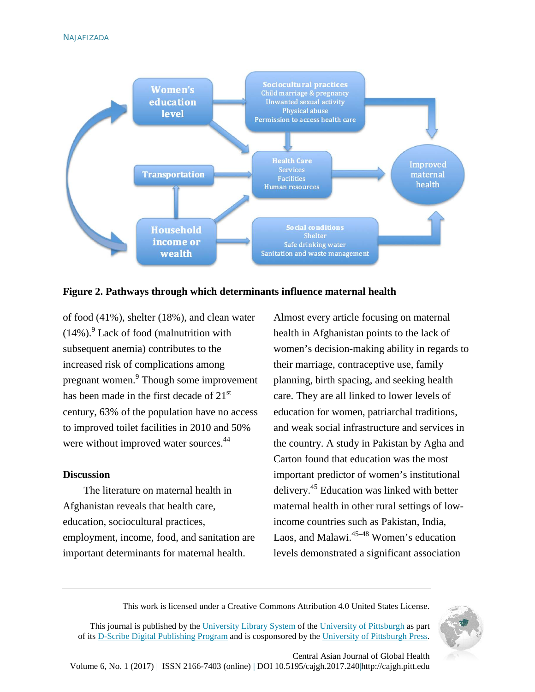

### **Figure 2. Pathways through which determinants influence maternal health**

of food (41%), shelter (18%), and clean water  $(14\%)$ .<sup>9</sup> Lack of food (malnutrition with subsequent anemia) contributes to the increased risk of complications among pregnant women. <sup>9</sup> Though some improvement has been made in the first decade of  $21<sup>st</sup>$ century, 63% of the population have no access to improved toilet facilities in 2010 and 50% were without improved water sources.<sup>44</sup>

### **Discussion**

The literature on maternal health in Afghanistan reveals that health care, education, sociocultural practices, employment, income, food, and sanitation are important determinants for maternal health.

Almost every article focusing on maternal health in Afghanistan points to the lack of women's decision-making ability in regards to their marriage, contraceptive use, family planning, birth spacing, and seeking health care. They are all linked to lower levels of education for women, patriarchal traditions, and weak social infrastructure and services in the country. A study in Pakistan by Agha and Carton found that education was the most important predictor of women's institutional delivery.45 Education was linked with better maternal health in other rural settings of lowincome countries such as Pakistan, India, Laos, and Malawi.<sup>45–48</sup> Women's education levels demonstrated a significant association

This work is licensed under a Creative Commons Attribution 4.0 United States License.

This journal is published by the [University Library System](http://www.library.pitt.edu/) of the [University of Pittsburgh](http://www.pitt.edu/) as part of its [D-Scribe Digital Publishing Program](http://www.library.pitt.edu/articles/digpubtype/index.html) and is cosponsored by the [University of Pittsburgh Press.](http://www.upress.pitt.edu/upressIndex.aspx)

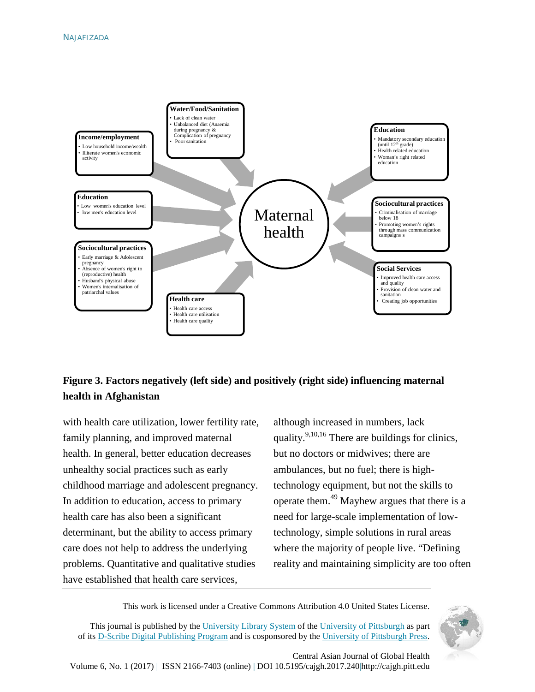

# **Figure 3. Factors negatively (left side) and positively (right side) influencing maternal health in Afghanistan**

with health care utilization, lower fertility rate, family planning, and improved maternal health. In general, better education decreases unhealthy social practices such as early childhood marriage and adolescent pregnancy. In addition to education, access to primary health care has also been a significant determinant, but the ability to access primary care does not help to address the underlying problems. Quantitative and qualitative studies have established that health care services,

although increased in numbers, lack quality.<sup>9,10,16</sup> There are buildings for clinics, but no doctors or midwives; there are ambulances, but no fuel; there is hightechnology equipment, but not the skills to operate them.<sup>49</sup> Mayhew argues that there is a need for large-scale implementation of lowtechnology, simple solutions in rural areas where the majority of people live. "Defining reality and maintaining simplicity are too often

This work is licensed under a Creative Commons Attribution 4.0 United States License.

This journal is published by the [University Library System](http://www.library.pitt.edu/) of the [University of Pittsburgh](http://www.pitt.edu/) as part of its [D-Scribe Digital Publishing Program](http://www.library.pitt.edu/articles/digpubtype/index.html) and is cosponsored by the [University of Pittsburgh Press.](http://www.upress.pitt.edu/upressIndex.aspx)

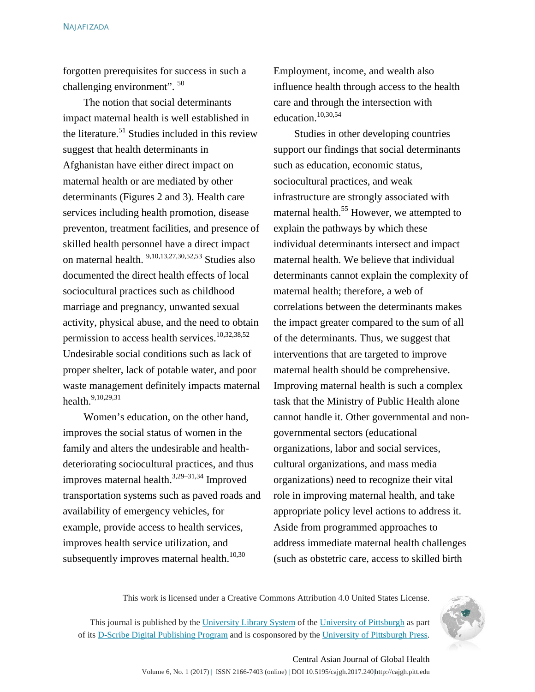forgotten prerequisites for success in such a challenging environment". <sup>50</sup>

The notion that social determinants impact maternal health is well established in the literature. <sup>51</sup> Studies included in this review suggest that health determinants in Afghanistan have either direct impact on maternal health or are mediated by other determinants (Figures 2 and 3). Health care services including health promotion, disease preventon, treatment facilities, and presence of skilled health personnel have a direct impact on maternal health. 9,10,13,27,30,52,53 Studies also documented the direct health effects of local sociocultural practices such as childhood marriage and pregnancy, unwanted sexual activity, physical abuse, and the need to obtain permission to access health services.<sup>10,32,38,52</sup> Undesirable social conditions such as lack of proper shelter, lack of potable water, and poor waste management definitely impacts maternal health. 9,10,29,31

Women's education, on the other hand, improves the social status of women in the family and alters the undesirable and healthdeteriorating sociocultural practices, and thus improves maternal health. 3,29–31,34 Improved transportation systems such as paved roads and availability of emergency vehicles, for example, provide access to health services, improves health service utilization, and subsequently improves maternal health.<sup>10,30</sup>

Employment, income, and wealth also influence health through access to the health care and through the intersection with education. 10,30,54

Studies in other developing countries support our findings that social determinants such as education, economic status, sociocultural practices, and weak infrastructure are strongly associated with maternal health.<sup>55</sup> However, we attempted to explain the pathways by which these individual determinants intersect and impact maternal health. We believe that individual determinants cannot explain the complexity of maternal health; therefore, a web of correlations between the determinants makes the impact greater compared to the sum of all of the determinants. Thus, we suggest that interventions that are targeted to improve maternal health should be comprehensive. Improving maternal health is such a complex task that the Ministry of Public Health alone cannot handle it. Other governmental and nongovernmental sectors (educational organizations, labor and social services, cultural organizations, and mass media organizations) need to recognize their vital role in improving maternal health, and take appropriate policy level actions to address it. Aside from programmed approaches to address immediate maternal health challenges (such as obstetric care, access to skilled birth

This work is licensed under a Creative Commons Attribution 4.0 United States License.

This journal is published by the [University Library System](http://www.library.pitt.edu/) of the [University of Pittsburgh](http://www.pitt.edu/) as part of its [D-Scribe Digital Publishing](http://www.library.pitt.edu/articles/digpubtype/index.html) Program and is cosponsored by the [University of Pittsburgh Press.](http://www.upress.pitt.edu/upressIndex.aspx)

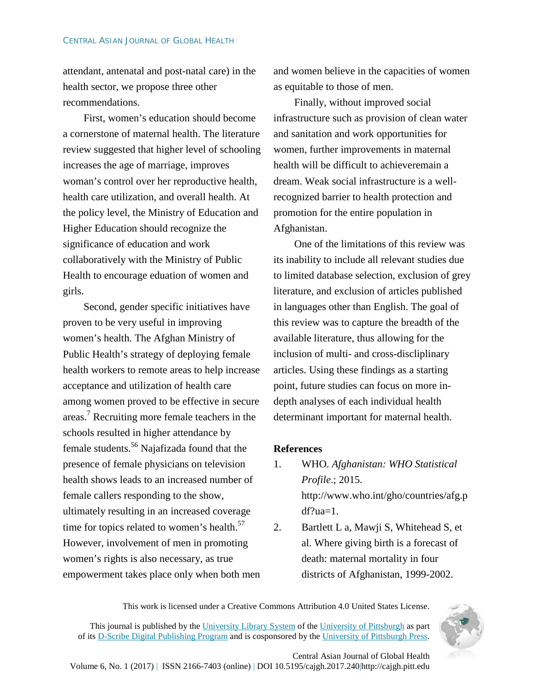attendant, antenatal and post-natal care) in the health sector, we propose three other recommendations.

First, women's education should become a cornerstone of maternal health. The literature review suggested that higher level of schooling increases the age of marriage, improves woman's control over her reproductive health, health care utilization, and overall health. At the policy level, the Ministry of Education and Higher Education should recognize the significance of education and work collaboratively with the Ministry of Public Health to encourage eduation of women and girls.

Second, gender specific initiatives have proven to be very useful in improving women's health. The Afghan Ministry of Public Health's strategy of deploying female health workers to remote areas to help increase acceptance and utilization of health care among women proved to be effective in secure areas.<sup>7</sup> Recruiting more female teachers in the schools resulted in higher attendance by female students. <sup>56</sup> Najafizada found that the presence of female physicians on television health shows leads to an increased number of female callers responding to the show, ultimately resulting in an increased coverage time for topics related to women's health. $57$ However, involvement of men in promoting women's rights is also necessary, as true empowerment takes place only when both men and women believe in the capacities of women as equitable to those of men.

Finally, without improved social infrastructure such as provision of clean water and sanitation and work opportunities for women, further improvements in maternal health will be difficult to achieveremain a dream. Weak social infrastructure is a wellrecognized barrier to health protection and promotion for the entire population in Afghanistan.

One of the limitations of this review was its inability to include all relevant studies due to limited database selection, exclusion of grey literature, and exclusion of articles published in languages other than English. The goal of this review was to capture the breadth of the available literature, thus allowing for the inclusion of multi- and cross-discliplinary articles. Using these findings as a starting point, future studies can focus on more indepth analyses of each individual health determinant important for maternal health.

## **References**

- 1. WHO. *Afghanistan: WHO Statistical Profile*.; 2015. http://www.who.int/gho/countries/afg.p  $df$ ?ua=1.
- 2. Bartlett L a, Mawji S, Whitehead S, et al. Where giving birth is a forecast of death: maternal mortality in four districts of Afghanistan, 1999-2002.

This work is licensed under a Creative Commons Attribution 4.0 United States License.

This journal is published by the [University Library System](http://www.library.pitt.edu/) of the [University of Pittsburgh](http://www.pitt.edu/) as part of its [D-Scribe Digital Publishing Program](http://www.library.pitt.edu/articles/digpubtype/index.html) and is cosponsored by the [University of Pittsburgh Press.](http://www.upress.pitt.edu/upressIndex.aspx)

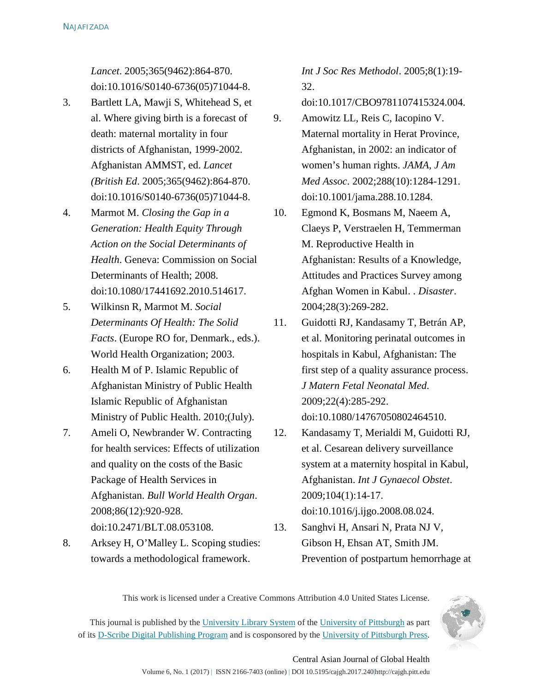*Lancet*. 2005;365(9462):864-870. doi:10.1016/S0140-6736(05)71044-8.

- 3. Bartlett LA, Mawji S, Whitehead S, et al. Where giving birth is a forecast of death: maternal mortality in four districts of Afghanistan, 1999-2002. Afghanistan AMMST, ed. *Lancet (British Ed*. 2005;365(9462):864-870. doi:10.1016/S0140-6736(05)71044-8.
- 4. Marmot M. *Closing the Gap in a Generation: Health Equity Through Action on the Social Determinants of Health*. Geneva: Commission on Social Determinants of Health; 2008. doi:10.1080/17441692.2010.514617.
- 5. Wilkinsn R, Marmot M. *Social Determinants Of Health: The Solid Facts*. (Europe RO for, Denmark., eds.). World Health Organization; 2003.
- 6. Health M of P. Islamic Republic of Afghanistan Ministry of Public Health Islamic Republic of Afghanistan Ministry of Public Health. 2010;(July).
- 7. Ameli O, Newbrander W. Contracting for health services: Effects of utilization and quality on the costs of the Basic Package of Health Services in Afghanistan. *Bull World Health Organ*. 2008;86(12):920-928. doi:10.2471/BLT.08.053108.
- 8. Arksey H, O'Malley L. Scoping studies: towards a methodological framework.

*Int J Soc Res Methodol*. 2005;8(1):19- 32.

doi:10.1017/CBO9781107415324.004.

- 9. Amowitz LL, Reis C, Iacopino V. Maternal mortality in Herat Province, Afghanistan, in 2002: an indicator of women's human rights. *JAMA, J Am Med Assoc*. 2002;288(10):1284-1291. doi:10.1001/jama.288.10.1284.
- 10. Egmond K, Bosmans M, Naeem A, Claeys P, Verstraelen H, Temmerman M. Reproductive Health in Afghanistan: Results of a Knowledge, Attitudes and Practices Survey among Afghan Women in Kabul. . *Disaster*. 2004;28(3):269-282.
- 11. Guidotti RJ, Kandasamy T, Betrán AP, et al. Monitoring perinatal outcomes in hospitals in Kabul, Afghanistan: The first step of a quality assurance process. *J Matern Fetal Neonatal Med*. 2009;22(4):285-292. doi:10.1080/14767050802464510.
- 12. Kandasamy T, Merialdi M, Guidotti RJ, et al. Cesarean delivery surveillance system at a maternity hospital in Kabul, Afghanistan. *Int J Gynaecol Obstet*. 2009;104(1):14-17. doi:10.1016/j.ijgo.2008.08.024.
- 13. Sanghvi H, Ansari N, Prata NJ V, Gibson H, Ehsan AT, Smith JM. Prevention of postpartum hemorrhage at

This work is licensed under a Creative Commons Attribution 4.0 United States License.

This journal is published by the [University Library System](http://www.library.pitt.edu/) of the [University of Pittsburgh](http://www.pitt.edu/) as part of its [D-Scribe Digital Publishing](http://www.library.pitt.edu/articles/digpubtype/index.html) Program and is cosponsored by the [University of Pittsburgh Press.](http://www.upress.pitt.edu/upressIndex.aspx)

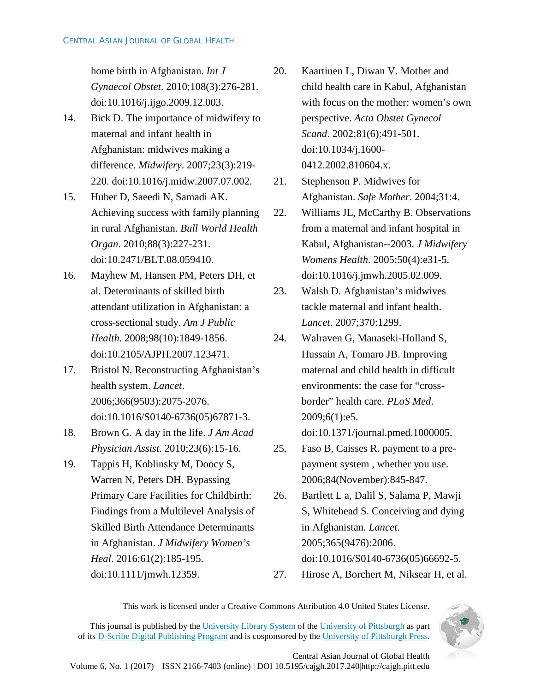home birth in Afghanistan. *Int J Gynaecol Obstet*. 2010;108(3):276-281. doi:10.1016/j.ijgo.2009.12.003.

- 14. Bick D. The importance of midwifery to maternal and infant health in Afghanistan: midwives making a difference. *Midwifery*. 2007;23(3):219- 220. doi:10.1016/j.midw.2007.07.002.
- 15. Huber D, Saeedi N, Samadi AK. Achieving success with family planning in rural Afghanistan. *Bull World Health Organ*. 2010;88(3):227-231. doi:10.2471/BLT.08.059410.
- 16. Mayhew M, Hansen PM, Peters DH, et al. Determinants of skilled birth attendant utilization in Afghanistan: a cross-sectional study. *Am J Public Health*. 2008;98(10):1849-1856. doi:10.2105/AJPH.2007.123471.
- 17. Bristol N. Reconstructing Afghanistan's health system. *Lancet*. 2006;366(9503):2075-2076. doi:10.1016/S0140-6736(05)67871-3.
- 18. Brown G. A day in the life. *J Am Acad Physician Assist*. 2010;23(6):15-16.
- 19. Tappis H, Koblinsky M, Doocy S, Warren N, Peters DH. Bypassing Primary Care Facilities for Childbirth: Findings from a Multilevel Analysis of Skilled Birth Attendance Determinants in Afghanistan. *J Midwifery Women's Heal*. 2016;61(2):185-195. doi:10.1111/jmwh.12359.
- 20. Kaartinen L, Diwan V. Mother and child health care in Kabul, Afghanistan with focus on the mother: women's own perspective. *Acta Obstet Gynecol Scand*. 2002;81(6):491-501. doi:10.1034/j.1600- 0412.2002.810604.x.
- 21. Stephenson P. Midwives for Afghanistan. *Safe Mother*. 2004;31:4.
- 22. Williams JL, McCarthy B. Observations from a maternal and infant hospital in Kabul, Afghanistan--2003. *J Midwifery Womens Health*. 2005;50(4):e31-5. doi:10.1016/j.jmwh.2005.02.009.
- 23. Walsh D. Afghanistan's midwives tackle maternal and infant health. *Lancet*. 2007;370:1299.
- 24. Walraven G, Manaseki-Holland S, Hussain A, Tomaro JB. Improving maternal and child health in difficult environments: the case for "crossborder" health care. *PLoS Med*. 2009;6(1):e5. doi:10.1371/journal.pmed.1000005.
- 25. Faso B, Caisses R. payment to a prepayment system , whether you use. 2006;84(November):845-847.
- 26. Bartlett L a, Dalil S, Salama P, Mawji S, Whitehead S. Conceiving and dying in Afghanistan. *Lancet*. 2005;365(9476):2006. doi:10.1016/S0140-6736(05)66692-5.
- 27. Hirose A, Borchert M, Niksear H, et al.

This work is licensed under a Creative Commons Attribution 4.0 United States License.

This journal is published by the [University Library System](http://www.library.pitt.edu/) of the [University of Pittsburgh](http://www.pitt.edu/) as part of its [D-Scribe Digital Publishing Program](http://www.library.pitt.edu/articles/digpubtype/index.html) and is cosponsored by the [University of Pittsburgh Press.](http://www.upress.pitt.edu/upressIndex.aspx)

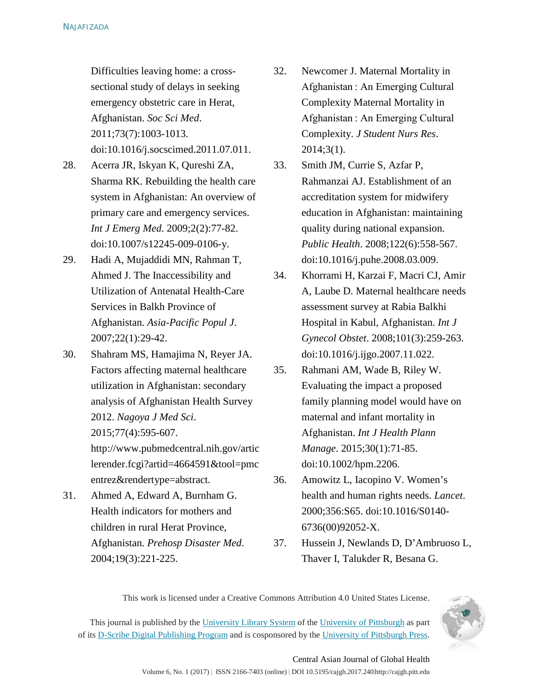Difficulties leaving home: a crosssectional study of delays in seeking emergency obstetric care in Herat, Afghanistan. *Soc Sci Med*. 2011;73(7):1003-1013. doi:10.1016/j.socscimed.2011.07.011.

- 28. Acerra JR, Iskyan K, Qureshi ZA, Sharma RK. Rebuilding the health care system in Afghanistan: An overview of primary care and emergency services. *Int J Emerg Med*. 2009;2(2):77-82. doi:10.1007/s12245-009-0106-y.
- 29. Hadi A, Mujaddidi MN, Rahman T, Ahmed J. The Inaccessibility and Utilization of Antenatal Health-Care Services in Balkh Province of Afghanistan. *Asia-Pacific Popul J*. 2007;22(1):29-42.
- 30. Shahram MS, Hamajima N, Reyer JA. Factors affecting maternal healthcare utilization in Afghanistan: secondary analysis of Afghanistan Health Survey 2012. *Nagoya J Med Sci*. 2015;77(4):595-607.

http://www.pubmedcentral.nih.gov/artic lerender.fcgi?artid=4664591&tool=pmc entrez&rendertype=abstract.

31. Ahmed A, Edward A, Burnham G. Health indicators for mothers and children in rural Herat Province, Afghanistan. *Prehosp Disaster Med*. 2004;19(3):221-225.

- 32. Newcomer J. Maternal Mortality in Afghanistan : An Emerging Cultural Complexity Maternal Mortality in Afghanistan : An Emerging Cultural Complexity. *J Student Nurs Res*. 2014;3(1).
- 33. Smith JM, Currie S, Azfar P, Rahmanzai AJ. Establishment of an accreditation system for midwifery education in Afghanistan: maintaining quality during national expansion. *Public Health*. 2008;122(6):558-567. doi:10.1016/j.puhe.2008.03.009.
- 34. Khorrami H, Karzai F, Macri CJ, Amir A, Laube D. Maternal healthcare needs assessment survey at Rabia Balkhi Hospital in Kabul, Afghanistan. *Int J Gynecol Obstet*. 2008;101(3):259-263. doi:10.1016/j.ijgo.2007.11.022.
- 35. Rahmani AM, Wade B, Riley W. Evaluating the impact a proposed family planning model would have on maternal and infant mortality in Afghanistan. *Int J Health Plann Manage*. 2015;30(1):71-85. doi:10.1002/hpm.2206.
- 36. Amowitz L, Iacopino V. Women's health and human rights needs. *Lancet*. 2000;356:S65. doi:10.1016/S0140- 6736(00)92052-X.
- 37. Hussein J, Newlands D, D'Ambruoso L, Thaver I, Talukder R, Besana G.

This work is licensed under a Creative Commons Attribution 4.0 United States License.

This journal is published by the [University Library System](http://www.library.pitt.edu/) of the [University of Pittsburgh](http://www.pitt.edu/) as part of its [D-Scribe Digital Publishing](http://www.library.pitt.edu/articles/digpubtype/index.html) Program and is cosponsored by the [University of Pittsburgh Press.](http://www.upress.pitt.edu/upressIndex.aspx)



Central Asian Journal of Global Health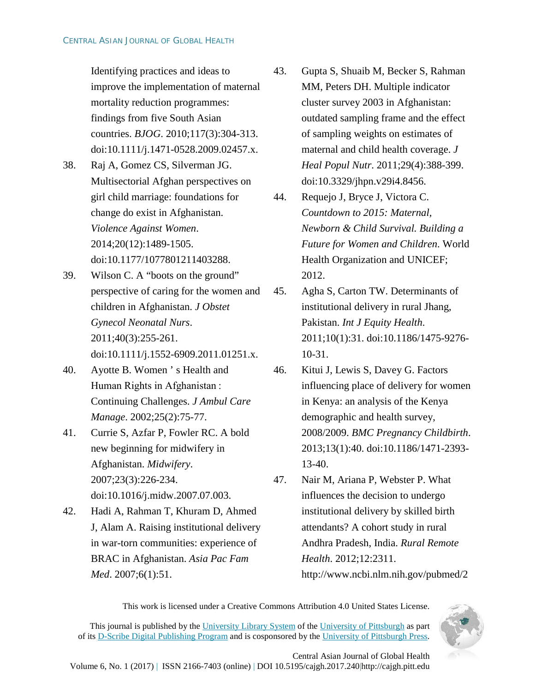Identifying practices and ideas to improve the implementation of maternal mortality reduction programmes: findings from five South Asian countries. *BJOG*. 2010;117(3):304-313. doi:10.1111/j.1471-0528.2009.02457.x.

- 38. Raj A, Gomez CS, Silverman JG. Multisectorial Afghan perspectives on girl child marriage: foundations for change do exist in Afghanistan. *Violence Against Women*. 2014;20(12):1489-1505. doi:10.1177/1077801211403288.
- 39. Wilson C. A "boots on the ground" perspective of caring for the women and children in Afghanistan. *J Obstet Gynecol Neonatal Nurs*. 2011;40(3):255-261. doi:10.1111/j.1552-6909.2011.01251.x.
- 40. Ayotte B. Women ' s Health and Human Rights in Afghanistan : Continuing Challenges. *J Ambul Care Manage*. 2002;25(2):75-77.
- 41. Currie S, Azfar P, Fowler RC. A bold new beginning for midwifery in Afghanistan. *Midwifery*. 2007;23(3):226-234. doi:10.1016/j.midw.2007.07.003.
- 42. Hadi A, Rahman T, Khuram D, Ahmed J, Alam A. Raising institutional delivery in war-torn communities: experience of BRAC in Afghanistan. *Asia Pac Fam Med*. 2007;6(1):51.
- 43. Gupta S, Shuaib M, Becker S, Rahman MM, Peters DH. Multiple indicator cluster survey 2003 in Afghanistan: outdated sampling frame and the effect of sampling weights on estimates of maternal and child health coverage. *J Heal Popul Nutr*. 2011;29(4):388-399. doi:10.3329/jhpn.v29i4.8456.
- 44. Requejo J, Bryce J, Victora C. *Countdown to 2015: Maternal, Newborn & Child Survival. Building a Future for Women and Children*. World Health Organization and UNICEF; 2012.
- 45. Agha S, Carton TW. Determinants of institutional delivery in rural Jhang, Pakistan. *Int J Equity Health*. 2011;10(1):31. doi:10.1186/1475-9276- 10-31.
- 46. Kitui J, Lewis S, Davey G. Factors influencing place of delivery for women in Kenya: an analysis of the Kenya demographic and health survey, 2008/2009. *BMC Pregnancy Childbirth*. 2013;13(1):40. doi:10.1186/1471-2393- 13-40.
- 47. Nair M, Ariana P, Webster P. What influences the decision to undergo institutional delivery by skilled birth attendants? A cohort study in rural Andhra Pradesh, India. *Rural Remote Health*. 2012;12:2311. http://www.ncbi.nlm.nih.gov/pubmed/2

This work is licensed under a Creative Commons Attribution 4.0 United States License.

This journal is published by the [University Library System](http://www.library.pitt.edu/) of the [University of Pittsburgh](http://www.pitt.edu/) as part of its [D-Scribe Digital Publishing Program](http://www.library.pitt.edu/articles/digpubtype/index.html) and is cosponsored by the [University of Pittsburgh Press.](http://www.upress.pitt.edu/upressIndex.aspx)